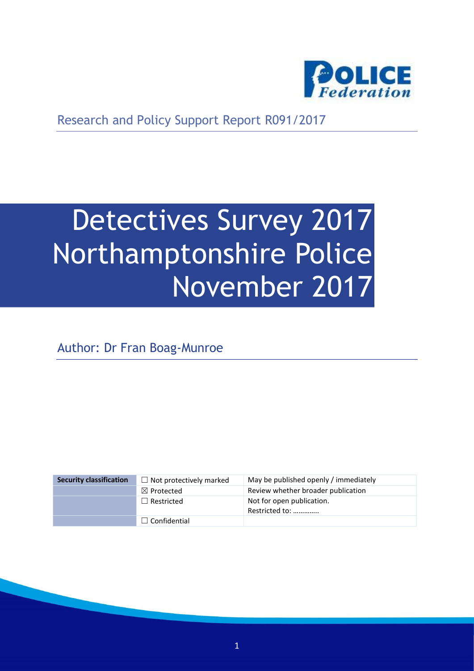

Research and Policy Support Report R091/2017

# Detectives Survey 2017 Northamptonshire Police November 2017

Author: Dr Fran Boag-Munroe

| <b>Security classification</b> | $\Box$ Not protectively marked | May be published openly / immediately       |
|--------------------------------|--------------------------------|---------------------------------------------|
|                                | $\boxtimes$ Protected          | Review whether broader publication          |
|                                | $\Box$ Restricted              | Not for open publication.<br>Restricted to: |
|                                | $\Box$ Confidential            |                                             |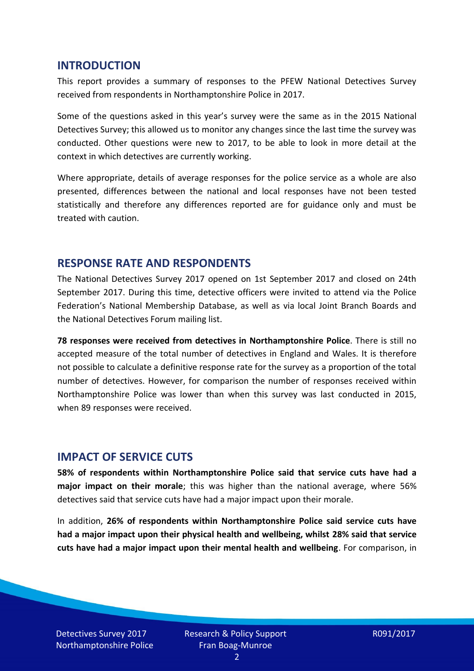#### **INTRODUCTION**

This report provides a summary of responses to the PFEW National Detectives Survey received from respondents in Northamptonshire Police in 2017.

Some of the questions asked in this year's survey were the same as in the 2015 National Detectives Survey; this allowed us to monitor any changes since the last time the survey was conducted. Other questions were new to 2017, to be able to look in more detail at the context in which detectives are currently working.

Where appropriate, details of average responses for the police service as a whole are also presented, differences between the national and local responses have not been tested statistically and therefore any differences reported are for guidance only and must be treated with caution.

#### **RESPONSE RATE AND RESPONDENTS**

The National Detectives Survey 2017 opened on 1st September 2017 and closed on 24th September 2017. During this time, detective officers were invited to attend via the Police Federation's National Membership Database, as well as via local Joint Branch Boards and the National Detectives Forum mailing list.

**78 responses were received from detectives in Northamptonshire Police**. There is still no accepted measure of the total number of detectives in England and Wales. It is therefore not possible to calculate a definitive response rate for the survey as a proportion of the total number of detectives. However, for comparison the number of responses received within Northamptonshire Police was lower than when this survey was last conducted in 2015, when 89 responses were received.

#### **IMPACT OF SERVICE CUTS**

**58% of respondents within Northamptonshire Police said that service cuts have had a major impact on their morale**; this was higher than the national average, where 56% detectives said that service cuts have had a major impact upon their morale.

In addition, **26% of respondents within Northamptonshire Police said service cuts have had a major impact upon their physical health and wellbeing, whilst 28% said that service cuts have had a major impact upon their mental health and wellbeing**. For comparison, in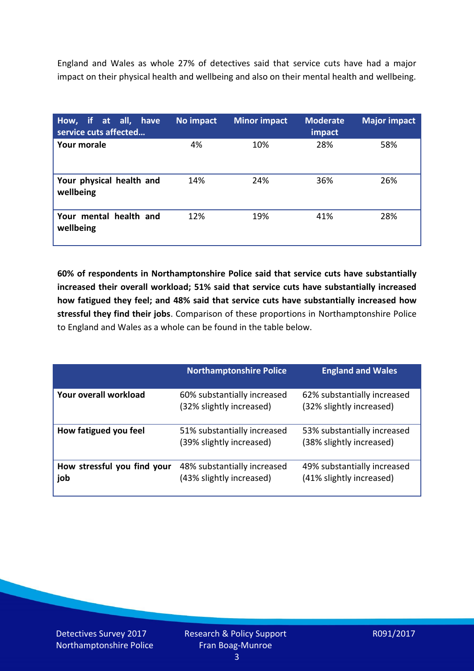England and Wales as whole 27% of detectives said that service cuts have had a major impact on their physical health and wellbeing and also on their mental health and wellbeing.

| How, if at all, have<br>service cuts affected | No impact | <b>Minor impact</b> | <b>Moderate</b><br>impact | <b>Major impact</b> |
|-----------------------------------------------|-----------|---------------------|---------------------------|---------------------|
| Your morale                                   | 4%        | 10%                 | 28%                       | 58%                 |
| Your physical health and<br>wellbeing         | 14%       | 24%                 | 36%                       | 26%                 |
| Your mental health and<br>wellbeing           | 12%       | 19%                 | 41%                       | 28%                 |

**60% of respondents in Northamptonshire Police said that service cuts have substantially increased their overall workload; 51% said that service cuts have substantially increased how fatigued they feel; and 48% said that service cuts have substantially increased how stressful they find their jobs**. Comparison of these proportions in Northamptonshire Police to England and Wales as a whole can be found in the table below.

|                                    | <b>Northamptonshire Police</b>                          | <b>England and Wales</b>                                |
|------------------------------------|---------------------------------------------------------|---------------------------------------------------------|
| Your overall workload              | 60% substantially increased<br>(32% slightly increased) | 62% substantially increased<br>(32% slightly increased) |
| How fatigued you feel              | 51% substantially increased<br>(39% slightly increased) | 53% substantially increased<br>(38% slightly increased) |
| How stressful you find your<br>job | 48% substantially increased<br>(43% slightly increased) | 49% substantially increased<br>(41% slightly increased) |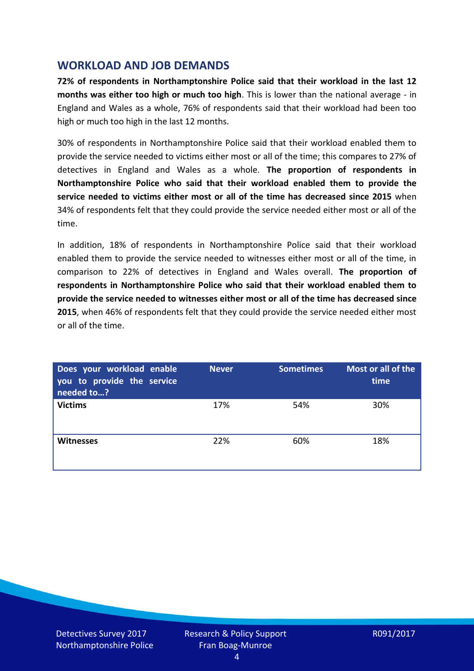## **WORKLOAD AND JOB DEMANDS**

**72% of respondents in Northamptonshire Police said that their workload in the last 12 months was either too high or much too high**. This is lower than the national average - in England and Wales as a whole, 76% of respondents said that their workload had been too high or much too high in the last 12 months.

30% of respondents in Northamptonshire Police said that their workload enabled them to provide the service needed to victims either most or all of the time; this compares to 27% of detectives in England and Wales as a whole. **The proportion of respondents in Northamptonshire Police who said that their workload enabled them to provide the service needed to victims either most or all of the time has decreased since 2015** when 34% of respondents felt that they could provide the service needed either most or all of the time.

In addition, 18% of respondents in Northamptonshire Police said that their workload enabled them to provide the service needed to witnesses either most or all of the time, in comparison to 22% of detectives in England and Wales overall. **The proportion of respondents in Northamptonshire Police who said that their workload enabled them to provide the service needed to witnesses either most or all of the time has decreased since 2015**, when 46% of respondents felt that they could provide the service needed either most or all of the time.

| Does your workload enable<br>you to provide the service<br>needed to? | <b>Never</b> | <b>Sometimes</b> | Most or all of the<br>time |
|-----------------------------------------------------------------------|--------------|------------------|----------------------------|
| <b>Victims</b>                                                        | 17%          | 54%              | 30%                        |
| <b>Witnesses</b>                                                      | 22%          | 60%              | 18%                        |

Detectives Survey 2017 Northamptonshire Police Research & Policy Support Fran Boag-Munroe

R091/2017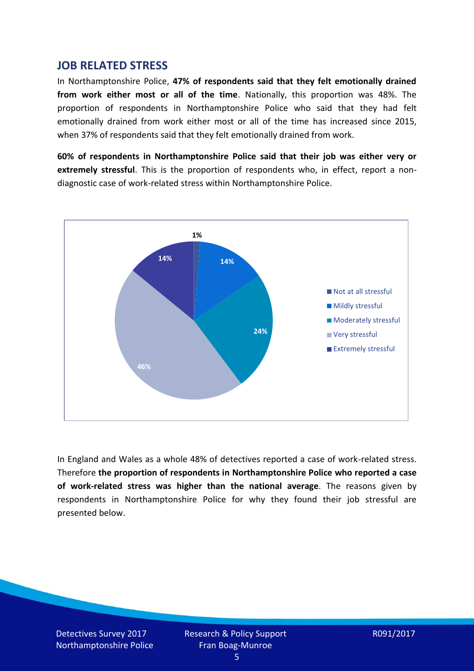#### **JOB RELATED STRESS**

In Northamptonshire Police, **47% of respondents said that they felt emotionally drained from work either most or all of the time**. Nationally, this proportion was 48%. The proportion of respondents in Northamptonshire Police who said that they had felt emotionally drained from work either most or all of the time has increased since 2015, when 37% of respondents said that they felt emotionally drained from work.

**60% of respondents in Northamptonshire Police said that their job was either very or extremely stressful**. This is the proportion of respondents who, in effect, report a nondiagnostic case of work-related stress within Northamptonshire Police.



In England and Wales as a whole 48% of detectives reported a case of work-related stress. Therefore **the proportion of respondents in Northamptonshire Police who reported a case of work-related stress was higher than the national average**. The reasons given by respondents in Northamptonshire Police for why they found their job stressful are presented below.

Detectives Survey 2017 Northamptonshire Police Research & Policy Support Fran Boag-Munroe

R091/2017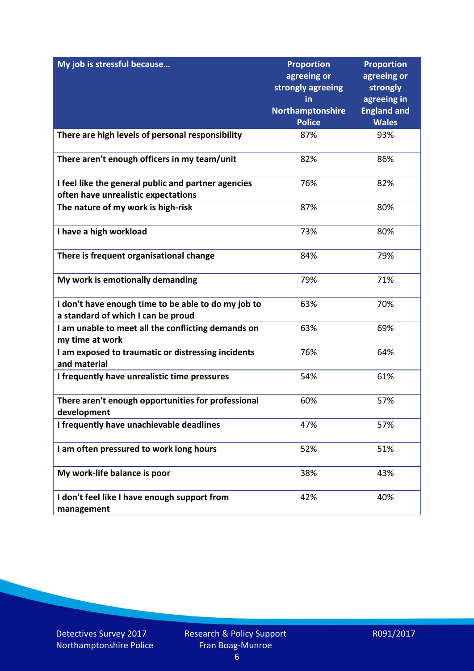| My job is stressful because                                           | <b>Proportion</b><br>agreeing or | <b>Proportion</b><br>agreeing or |
|-----------------------------------------------------------------------|----------------------------------|----------------------------------|
|                                                                       | strongly agreeing                | strongly                         |
|                                                                       | in                               | agreeing in                      |
|                                                                       | Northamptonshire                 | <b>England and</b>               |
|                                                                       | <b>Police</b>                    | <b>Wales</b>                     |
| There are high levels of personal responsibility                      | 87%                              | 93%                              |
| There aren't enough officers in my team/unit                          | 82%                              | 86%                              |
| I feel like the general public and partner agencies                   | 76%                              | 82%                              |
| often have unrealistic expectations                                   |                                  |                                  |
| The nature of my work is high-risk                                    | 87%                              | 80%                              |
| I have a high workload                                                | 73%                              | 80%                              |
| There is frequent organisational change                               | 84%                              | 79%                              |
| My work is emotionally demanding                                      | 79%                              | 71%                              |
| I don't have enough time to be able to do my job to                   | 63%                              | 70%                              |
| a standard of which I can be proud                                    |                                  |                                  |
| I am unable to meet all the conflicting demands on<br>my time at work | 63%                              | 69%                              |
| I am exposed to traumatic or distressing incidents<br>and material    | 76%                              | 64%                              |
| I frequently have unrealistic time pressures                          | 54%                              | 61%                              |
| There aren't enough opportunities for professional<br>development     | 60%                              | 57%                              |
| I frequently have unachievable deadlines                              | 47%                              | 57%                              |
| I am often pressured to work long hours                               | 52%                              | 51%                              |
| My work-life balance is poor                                          | 38%                              | 43%                              |
| I don't feel like I have enough support from<br>management            | 42%                              | 40%                              |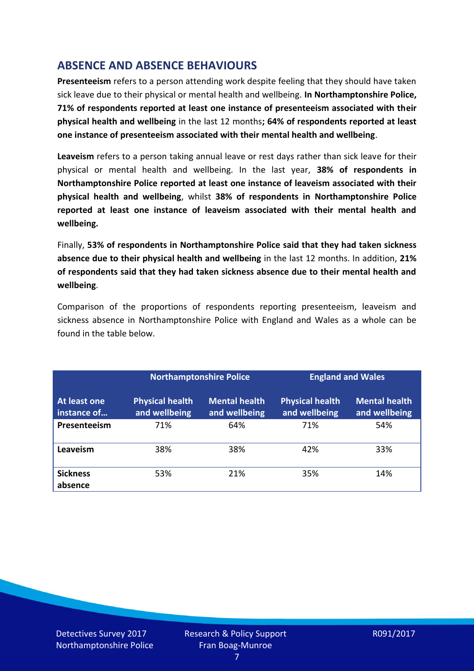## **ABSENCE AND ABSENCE BEHAVIOURS**

**Presenteeism** refers to a person attending work despite feeling that they should have taken sick leave due to their physical or mental health and wellbeing. **In Northamptonshire Police, 71% of respondents reported at least one instance of presenteeism associated with their physical health and wellbeing** in the last 12 months**; 64% of respondents reported at least one instance of presenteeism associated with their mental health and wellbeing**.

**Leaveism** refers to a person taking annual leave or rest days rather than sick leave for their physical or mental health and wellbeing. In the last year, **38% of respondents in Northamptonshire Police reported at least one instance of leaveism associated with their physical health and wellbeing**, whilst **38% of respondents in Northamptonshire Police reported at least one instance of leaveism associated with their mental health and wellbeing.**

Finally, **53% of respondents in Northamptonshire Police said that they had taken sickness absence due to their physical health and wellbeing** in the last 12 months. In addition, **21% of respondents said that they had taken sickness absence due to their mental health and wellbeing**.

Comparison of the proportions of respondents reporting presenteeism, leaveism and sickness absence in Northamptonshire Police with England and Wales as a whole can be found in the table below.

|                             |                                         | <b>Northamptonshire Police</b>        |                                         | <b>England and Wales</b>              |
|-----------------------------|-----------------------------------------|---------------------------------------|-----------------------------------------|---------------------------------------|
| At least one<br>instance of | <b>Physical health</b><br>and wellbeing | <b>Mental health</b><br>and wellbeing | <b>Physical health</b><br>and wellbeing | <b>Mental health</b><br>and wellbeing |
| Presenteeism                | 71%                                     | 64%                                   | 71%                                     | 54%                                   |
| Leaveism                    | 38%                                     | 38%                                   | 42%                                     | 33%                                   |
| <b>Sickness</b><br>absence  | 53%                                     | 21%                                   | 35%                                     | 14%                                   |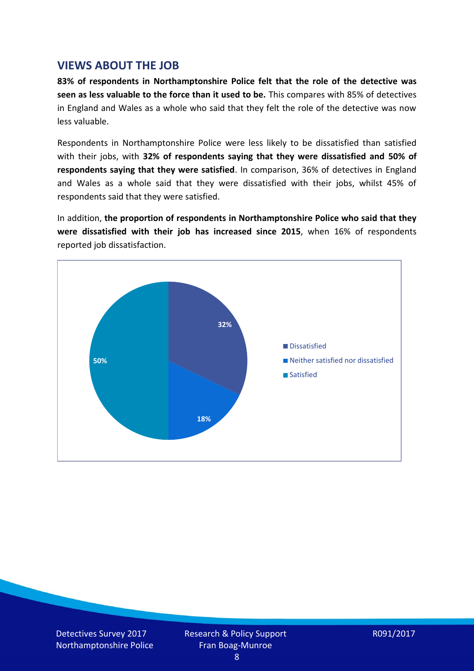### **VIEWS ABOUT THE JOB**

**83% of respondents in Northamptonshire Police felt that the role of the detective was seen as less valuable to the force than it used to be.** This compares with 85% of detectives in England and Wales as a whole who said that they felt the role of the detective was now less valuable.

Respondents in Northamptonshire Police were less likely to be dissatisfied than satisfied with their jobs, with **32% of respondents saying that they were dissatisfied and 50% of respondents saying that they were satisfied**. In comparison, 36% of detectives in England and Wales as a whole said that they were dissatisfied with their jobs, whilst 45% of respondents said that they were satisfied.

In addition, **the proportion of respondents in Northamptonshire Police who said that they were dissatisfied with their job has increased since 2015**, when 16% of respondents reported job dissatisfaction.



Detectives Survey 2017 Northamptonshire Police Research & Policy Support Fran Boag-Munroe

R091/2017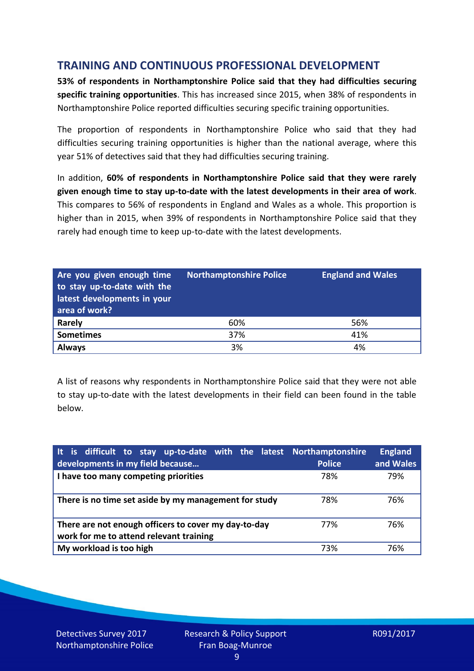## **TRAINING AND CONTINUOUS PROFESSIONAL DEVELOPMENT**

**53% of respondents in Northamptonshire Police said that they had difficulties securing specific training opportunities**. This has increased since 2015, when 38% of respondents in Northamptonshire Police reported difficulties securing specific training opportunities.

The proportion of respondents in Northamptonshire Police who said that they had difficulties securing training opportunities is higher than the national average, where this year 51% of detectives said that they had difficulties securing training.

In addition, **60% of respondents in Northamptonshire Police said that they were rarely given enough time to stay up-to-date with the latest developments in their area of work**. This compares to 56% of respondents in England and Wales as a whole. This proportion is higher than in 2015, when 39% of respondents in Northamptonshire Police said that they rarely had enough time to keep up-to-date with the latest developments.

| Are you given enough time<br>to stay up-to-date with the<br>latest developments in your<br>area of work? | <b>Northamptonshire Police</b> | <b>England and Wales</b> |
|----------------------------------------------------------------------------------------------------------|--------------------------------|--------------------------|
| <b>Rarely</b>                                                                                            | 60%                            | 56%                      |
| <b>Sometimes</b>                                                                                         | 37%                            | 41%                      |
| <b>Always</b>                                                                                            | 3%                             | 4%                       |

A list of reasons why respondents in Northamptonshire Police said that they were not able to stay up-to-date with the latest developments in their field can been found in the table below.

| It is difficult to stay up-to-date with the latest Northamptonshire<br>developments in my field because | <b>Police</b> | <b>England</b><br>and Wales |
|---------------------------------------------------------------------------------------------------------|---------------|-----------------------------|
| I have too many competing priorities                                                                    | 78%           | 79%                         |
| There is no time set aside by my management for study                                                   | 78%           | 76%                         |
| There are not enough officers to cover my day-to-day<br>work for me to attend relevant training         | 77%           | 76%                         |
| My workload is too high                                                                                 | 73%           | 76%                         |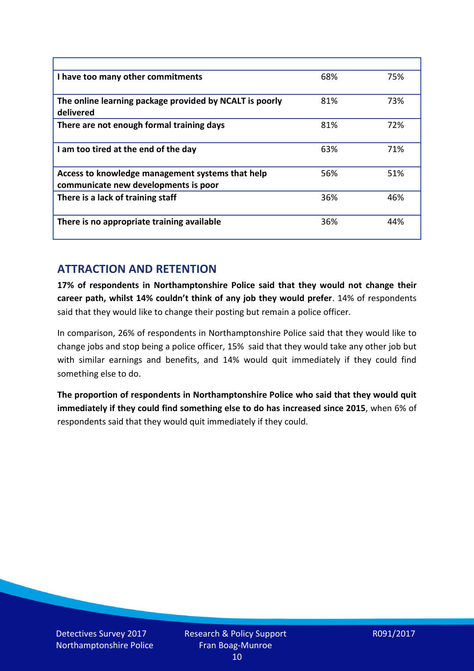| I have too many other commitments                                                        | 68% | 75% |
|------------------------------------------------------------------------------------------|-----|-----|
| The online learning package provided by NCALT is poorly<br>delivered                     | 81% | 73% |
| There are not enough formal training days                                                | 81% | 72% |
| I am too tired at the end of the day                                                     | 63% | 71% |
| Access to knowledge management systems that help<br>communicate new developments is poor | 56% | 51% |
| There is a lack of training staff                                                        | 36% | 46% |
| There is no appropriate training available                                               | 36% | 44% |

## **ATTRACTION AND RETENTION**

**17% of respondents in Northamptonshire Police said that they would not change their career path, whilst 14% couldn't think of any job they would prefer**. 14% of respondents said that they would like to change their posting but remain a police officer.

In comparison, 26% of respondents in Northamptonshire Police said that they would like to change jobs and stop being a police officer, 15% said that they would take any other job but with similar earnings and benefits, and 14% would quit immediately if they could find something else to do.

**The proportion of respondents in Northamptonshire Police who said that they would quit immediately if they could find something else to do has increased since 2015**, when 6% of respondents said that they would quit immediately if they could.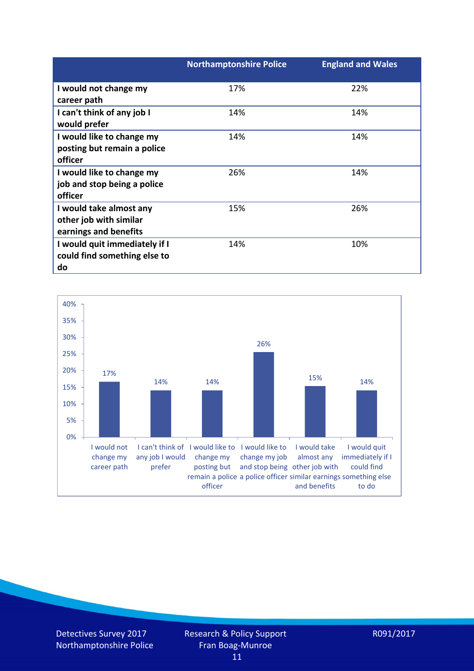|                               | <b>Northamptonshire Police</b> | <b>England and Wales</b> |
|-------------------------------|--------------------------------|--------------------------|
| I would not change my         | 17%                            | 22%                      |
| career path                   |                                |                          |
| I can't think of any job I    | 14%                            | 14%                      |
| would prefer                  |                                |                          |
| I would like to change my     | 14%                            | 14%                      |
| posting but remain a police   |                                |                          |
| officer                       |                                |                          |
| I would like to change my     | 26%                            | 14%                      |
| job and stop being a police   |                                |                          |
| officer                       |                                |                          |
| I would take almost any       | 15%                            | 26%                      |
| other job with similar        |                                |                          |
| earnings and benefits         |                                |                          |
| I would quit immediately if I | 14%                            | 10%                      |
| could find something else to  |                                |                          |
| do                            |                                |                          |